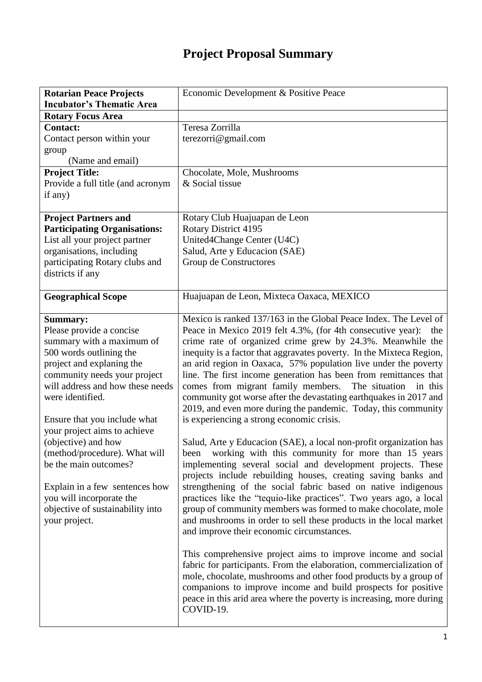## **Project Proposal Summary**

| <b>Rotarian Peace Projects</b>                        | Economic Development & Positive Peace                                                                                               |
|-------------------------------------------------------|-------------------------------------------------------------------------------------------------------------------------------------|
| <b>Incubator's Thematic Area</b>                      |                                                                                                                                     |
| <b>Rotary Focus Area</b>                              |                                                                                                                                     |
| <b>Contact:</b>                                       | Teresa Zorrilla                                                                                                                     |
| Contact person within your                            | terezorri@gmail.com                                                                                                                 |
| group                                                 |                                                                                                                                     |
| (Name and email)                                      |                                                                                                                                     |
| <b>Project Title:</b>                                 | Chocolate, Mole, Mushrooms                                                                                                          |
| Provide a full title (and acronym                     | & Social tissue                                                                                                                     |
| if any)                                               |                                                                                                                                     |
| <b>Project Partners and</b>                           | Rotary Club Huajuapan de Leon                                                                                                       |
| <b>Participating Organisations:</b>                   | <b>Rotary District 4195</b>                                                                                                         |
| List all your project partner                         | United4Change Center (U4C)                                                                                                          |
| organisations, including                              | Salud, Arte y Educacion (SAE)                                                                                                       |
| participating Rotary clubs and                        | Group de Constructores                                                                                                              |
| districts if any                                      |                                                                                                                                     |
|                                                       |                                                                                                                                     |
| <b>Geographical Scope</b>                             | Huajuapan de Leon, Mixteca Oaxaca, MEXICO                                                                                           |
|                                                       | Mexico is ranked 137/163 in the Global Peace Index. The Level of                                                                    |
| <b>Summary:</b>                                       |                                                                                                                                     |
| Please provide a concise<br>summary with a maximum of | Peace in Mexico 2019 felt 4.3%, (for 4th consecutive year):<br>the<br>crime rate of organized crime grew by 24.3%. Meanwhile the    |
| 500 words outlining the                               | inequity is a factor that aggravates poverty. In the Mixteca Region,                                                                |
| project and explaning the                             | an arid region in Oaxaca, 57% population live under the poverty                                                                     |
| community needs your project                          | line. The first income generation has been from remittances that                                                                    |
| will address and how these needs                      | comes from migrant family members.<br>The situation<br>in this                                                                      |
| were identified.                                      | community got worse after the devastating earthquakes in 2017 and                                                                   |
|                                                       | 2019, and even more during the pandemic. Today, this community                                                                      |
| Ensure that you include what                          | is experiencing a strong economic crisis.                                                                                           |
| your project aims to achieve                          |                                                                                                                                     |
| (objective) and how                                   | Salud, Arte y Educacion (SAE), a local non-profit organization has                                                                  |
| (method/procedure). What will                         | been working with this community for more than 15 years                                                                             |
| be the main outcomes?                                 | implementing several social and development projects. These                                                                         |
|                                                       | projects include rebuilding houses, creating saving banks and                                                                       |
| Explain in a few sentences how                        | strengthening of the social fabric based on native indigenous                                                                       |
| you will incorporate the                              | practices like the "tequio-like practices". Two years ago, a local                                                                  |
| objective of sustainability into                      | group of community members was formed to make chocolate, mole                                                                       |
| your project.                                         | and mushrooms in order to sell these products in the local market                                                                   |
|                                                       | and improve their economic circumstances.                                                                                           |
|                                                       |                                                                                                                                     |
|                                                       | This comprehensive project aims to improve income and social<br>fabric for participants. From the elaboration, commercialization of |
|                                                       | mole, chocolate, mushrooms and other food products by a group of                                                                    |
|                                                       | companions to improve income and build prospects for positive                                                                       |
|                                                       | peace in this arid area where the poverty is increasing, more during                                                                |
|                                                       | COVID-19.                                                                                                                           |
|                                                       |                                                                                                                                     |